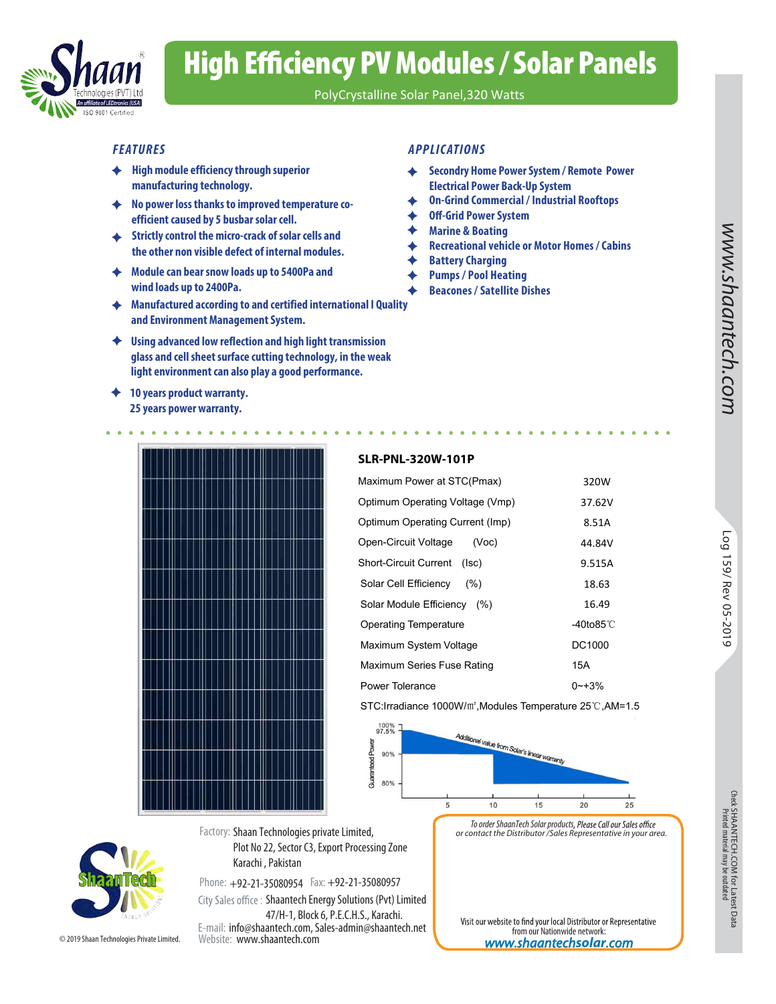

# High Efficiency PV Modules / Solar Panels

PolyCrystalline Solar Panel,320 Watts

- **High module efficiency through superior manufacturing technology.**
- **No power loss thanks to improved temperature coefficient caused by 5 busbar solar cell.**
- **Strictly control the micro-crack of solar cells and the other non visible defect of internal modules.**
- **Module can bear snow loads up to 5400Pa and wind loads up to 2400Pa.**
- **Manufactured according to and certified international I Quality and Environment Management System.**
- **Using advanced low reflection and high light transmission glass and cell sheet surface cutting technology, in the weak light environment can also play a good performance.**
- **10 years product warranty. 25 years power warranty.**

### *FEATURES APPLICATIONS*

- **Secondry Home Power System / Remote Power**  ♦ **Electrical Power Back-Up System**
- **On-Grind Commercial / Industrial Rooftops**
- **Off-Grid Power System**
- **Marine & Boating**
- **Recreational vehicle or Motor Homes / Cabins**
- **Battery Charging** ♦
- **Pumps / Pool Heating** 
	- **Beacones / Satellite Dishes**



### **SLR-PNL-320W-101P**

| <b>SLR-PNL-320W-101P</b>                                                                      |                     |                                     |
|-----------------------------------------------------------------------------------------------|---------------------|-------------------------------------|
| Maximum Power at STC(Pmax)                                                                    | 320W                |                                     |
| Optimum Operating Voltage (Vmp)                                                               | 37.62V              |                                     |
| Optimum Operating Current (Imp)                                                               | 8.51A               |                                     |
| Open-Circuit Voltage<br>(Voc)                                                                 | 44.84V              | 601                                 |
| <b>Short-Circuit Current</b><br>(Isc)                                                         | 9.515A              | ∸<br>C<br>$\widetilde{\varepsilon}$ |
| Solar Cell Efficiency<br>(% )                                                                 | 18.63               | Rev                                 |
| Solar Module Efficiency (%)                                                                   | 16.49               | Ğ,                                  |
| <b>Operating Temperature</b>                                                                  | -40to85 $\degree$ C | 20                                  |
| Maximum System Voltage                                                                        | DC1000              | ⊸<br>$\circ$                        |
| Maximum Series Fuse Rating                                                                    | 15A                 |                                     |
| Power Tolerance                                                                               | $0 - +3%$           |                                     |
| STC: Irradiance 1000W/m <sup>2</sup> , Modules Temperature 25°C, AM=1.5                       |                     |                                     |
| 100%<br>97.5%<br>Additional value from Solar's linear unnergy<br>Power<br>90%<br>$\mathbf{r}$ |                     |                                     |



from our Nationwide network: *www.shaantech***solar***.com*

Visit our website to find your local Distributor or Representative

Check SHAANTECH.COM for Latest Data<br>Printed material may be outdated SHAANTECH.COM for Latest Data<br>Printed material may be outdated



Phone: +92-21-35080954 Fax: +92-21-35080957 E-mail: info@shaantech.com, Sales-admin@shaantech.net Website: www.shaantech.com City Sales office: Shaantech Energy Solutions (Pvt) Limited 47/H-1, Block 6, P.E.C.H.S., Karachi.

Karachi , Pakistan

Plot No 22, Sector C3, Export Processing Zone

© 2019 Shaan Technologies Private Limited.